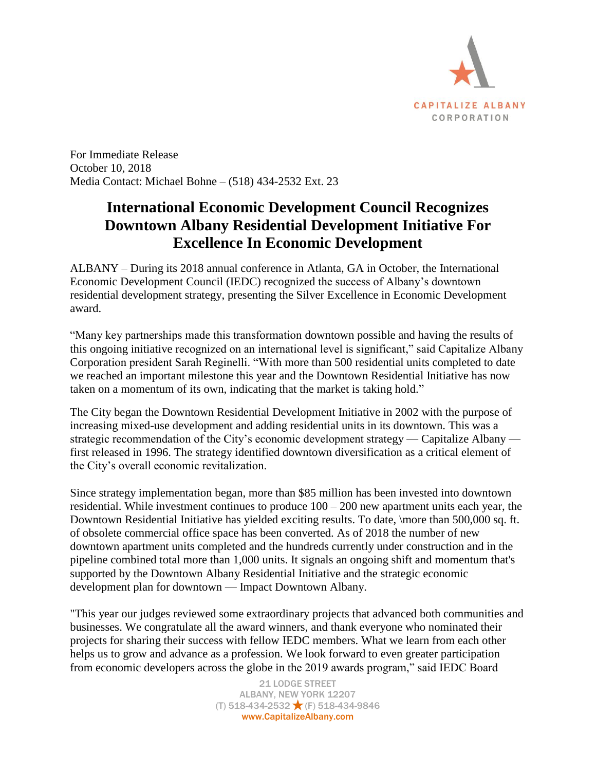

For Immediate Release October 10, 2018 Media Contact: Michael Bohne – (518) 434-2532 Ext. 23

## **International Economic Development Council Recognizes Downtown Albany Residential Development Initiative For Excellence In Economic Development**

ALBANY – During its 2018 annual conference in Atlanta, GA in October, the International Economic Development Council (IEDC) recognized the success of Albany's downtown residential development strategy, presenting the Silver Excellence in Economic Development award.

"Many key partnerships made this transformation downtown possible and having the results of this ongoing initiative recognized on an international level is significant," said Capitalize Albany Corporation president Sarah Reginelli. "With more than 500 residential units completed to date we reached an important milestone this year and the Downtown Residential Initiative has now taken on a momentum of its own, indicating that the market is taking hold."

The City began the Downtown Residential Development Initiative in 2002 with the purpose of increasing mixed-use development and adding residential units in its downtown. This was a strategic recommendation of the City's economic development strategy — Capitalize Albany first released in 1996. The strategy identified downtown diversification as a critical element of the City's overall economic revitalization.

Since strategy implementation began, more than \$85 million has been invested into downtown residential. While investment continues to produce  $100 - 200$  new apartment units each year, the Downtown Residential Initiative has yielded exciting results. To date, \more than 500,000 sq. ft. of obsolete commercial office space has been converted. As of 2018 the number of new downtown apartment units completed and the hundreds currently under construction and in the pipeline combined total more than 1,000 units. It signals an ongoing shift and momentum that's supported by the Downtown Albany Residential Initiative and the strategic economic development plan for downtown — Impact Downtown Albany.

"This year our judges reviewed some extraordinary projects that advanced both communities and businesses. We congratulate all the award winners, and thank everyone who nominated their projects for sharing their success with fellow IEDC members. What we learn from each other helps us to grow and advance as a profession. We look forward to even greater participation from economic developers across the globe in the 2019 awards program," said IEDC Board

> 21 LODGE STREET ALBANY, NEW YORK 12207  $(T)$  518-434-2532  $\bigstar$  (F) 518-434-9846 www.CapitalizeAlbany.com